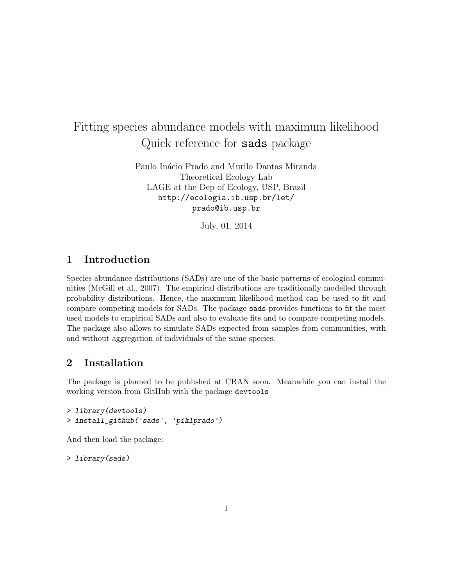# Fitting species abundance models with maximum likelihood Quick reference for sads package

Paulo Inácio Prado and Murilo Dantas Miranda Theoretical Ecology Lab LAGE at the Dep of Ecology, USP, Brazil http://ecologia.ib.usp.br/let/ prado@ib.usp.br

July, 01, 2014

## 1 Introduction

Species abundance distributions (SADs) are one of the basic patterns of ecological communities (McGill et al., 2007). The empirical distributions are traditionally modelled through probability distributions. Hence, the maximum likelihood method can be used to fit and compare competing models for SADs. The package sads provides functions to fit the most used models to empirical SADs and also to evaluate fits and to compare competing models. The package also allows to simulate SADs expected from samples from communities, with and without aggregation of individuals of the same species.

## 2 Installation

The package is planned to be published at CRAN soon. Meanwhile you can install the working version from GitHub with the package devtools

```
> library(devtools)
> install_github('sads', 'piklprado')
```
And then load the package:

> library(sads)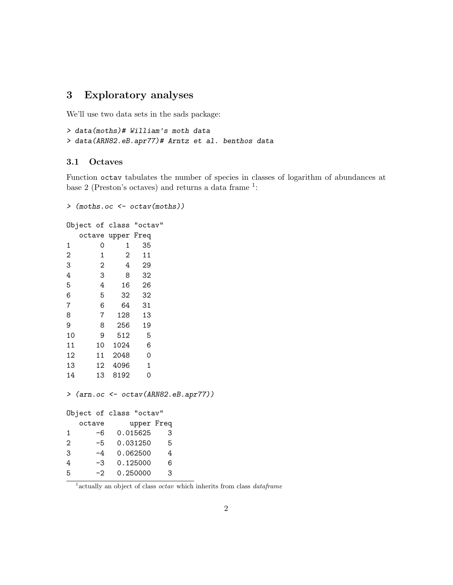## 3 Exploratory analyses

We'll use two data sets in the sads package:

```
> data(moths)# William's moth data
> data(ARN82.eB.apr77)# Arntz et al. benthos data
```
#### 3.1 Octaves

Function octav tabulates the number of species in classes of logarithm of abundances at base 2 (Preston's octaves) and returns a data frame  $1$ :

```
> (moths.oc <- octav(moths))
Object of class "octav"
  octave upper Freq
1 0 1 35
2 1 2 11
3 2 4 29
4 3 8 32
5 4 16 26
```
6 5 32 32 7 6 64 31 8 7 128 13 9 8 256 19

| 10 |        | 9  | 512                                       | 5              |    |  |
|----|--------|----|-------------------------------------------|----------------|----|--|
| 11 |        | 10 | 1024                                      | 6              |    |  |
| 12 |        |    | 11 2048                                   | $\Omega$       |    |  |
| 13 |        |    | 12 4096                                   | $\overline{1}$ |    |  |
| 14 |        | 13 | 8192                                      | 0              |    |  |
|    |        |    | $>$ (arn.oc $\leq$ octav(ARN82.eB.apr77)) |                |    |  |
|    |        |    | Object of class "octav"                   |                |    |  |
|    | octave |    |                                           | upper Freq     |    |  |
| 1  |        |    | -6 0.015625                               |                | 3  |  |
| 2  |        |    | $-5$ 0.031250                             |                | -5 |  |
| 3  |        | -4 |                                           | 0.062500       | 4  |  |

4 -3 0.125000 6 5 -2 0.250000 3

<sup>1</sup> actually an object of class *octav* which inherits from class *dataframe*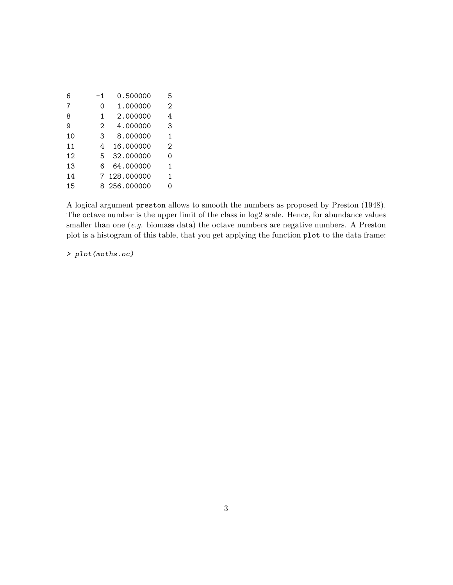| 6  | -1 | 0.500000     | 5 |
|----|----|--------------|---|
| 7  | Ω  | 1.000000     | 2 |
| 8  | 1  | 2.000000     | 4 |
| 9  | 2  | 4.000000     | 3 |
| 10 | 3  | 8.000000     | 1 |
| 11 | 4  | 16.000000    | 2 |
| 12 | 5  | 32.000000    | ი |
| 13 | 6  | 64.000000    | 1 |
| 14 |    | 7 128,000000 | 1 |
| 15 |    | 8 256.000000 | ი |

A logical argument preston allows to smooth the numbers as proposed by Preston (1948). The octave number is the upper limit of the class in log2 scale. Hence, for abundance values smaller than one  $(e.g.$  biomass data) the octave numbers are negative numbers. A Preston plot is a histogram of this table, that you get applying the function plot to the data frame:

> plot(moths.oc)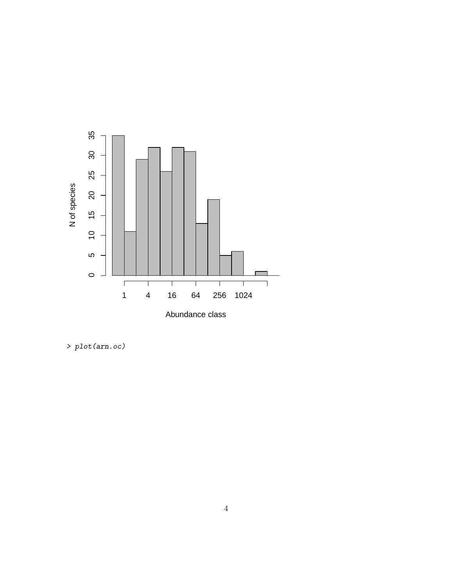

> plot(arn.oc)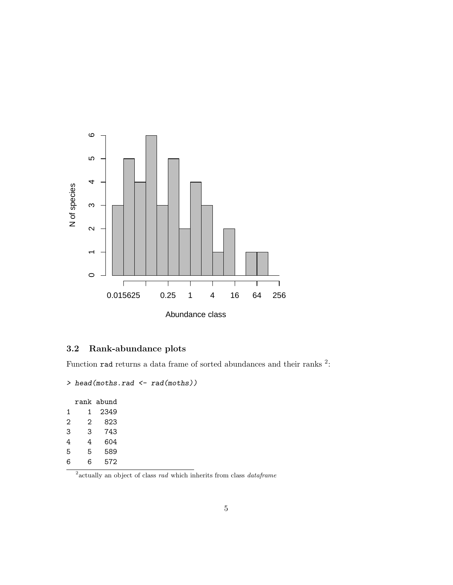

## 3.2 Rank-abundance plots

Function rad returns a data frame of sorted abundances and their ranks  $2$ :

```
> head(moths.rad <- rad(moths))
```

|   |   | rank abund |
|---|---|------------|
| 1 | 1 | 2349       |
| 2 | 2 | 823        |
| 3 | 3 | 743        |
| 4 | 4 | 604        |
| 5 | 5 | 589        |
| 6 | 6 | 572        |

<sup>2</sup> actually an object of class *rad* which inherits from class *dataframe*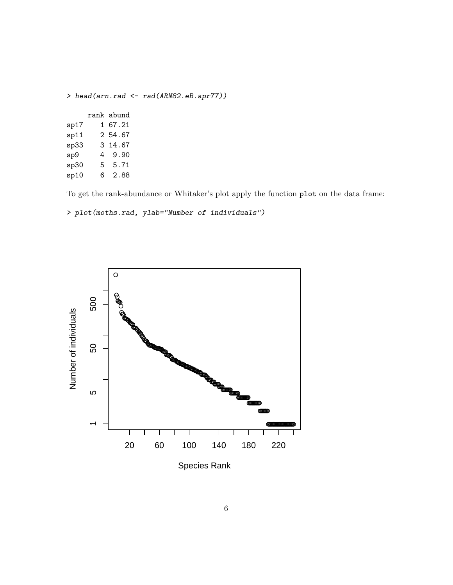|      |   |              | > head(arn.rad $\leq$ rad(ARN82.eB.apr77)) |
|------|---|--------------|--------------------------------------------|
|      |   | rank abund   |                                            |
| sp17 |   | 1 67.21      |                                            |
| sp11 |   | 2 54.67      |                                            |
|      |   | sp33 3 14.67 |                                            |
| sp9  |   | 4 9.90       |                                            |
| sp30 |   | 5 5.71       |                                            |
| sp10 | 6 | 2.88         |                                            |

To get the rank-abundance or Whitaker's plot apply the function plot on the data frame:

> plot(moths.rad, ylab="Number of individuals")



Species Rank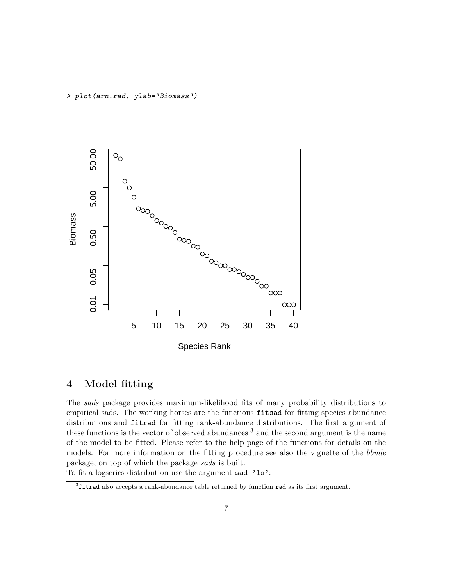> plot(arn.rad, ylab="Biomass")



## 4 Model fitting

The sads package provides maximum-likelihood fits of many probability distributions to empirical sads. The working horses are the functions fitsad for fitting species abundance distributions and fitrad for fitting rank-abundance distributions. The first argument of these functions is the vector of observed abundances<sup>3</sup> and the second argument is the name of the model to be fitted. Please refer to the help page of the functions for details on the models. For more information on the fitting procedure see also the vignette of the bbmle package, on top of which the package sads is built.

To fit a logseries distribution use the argument sad='ls':

<sup>&</sup>lt;sup>3</sup>fitrad also accepts a rank-abundance table returned by function rad as its first argument.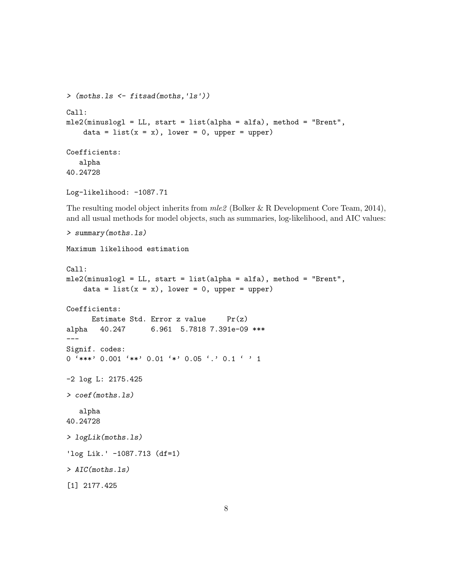```
> (moths.ls <- fitsad(moths,'ls'))
Call:
mle2(minuslogl = LL, start = list(alpha = alfa), method = "Brent",
    data = list(x = x), lower = 0, upper = upper)
Coefficients:
   alpha
40.24728
Log-likelihood: -1087.71
```
The resulting model object inherits from  $mle2$  (Bolker & R Development Core Team, 2014), and all usual methods for model objects, such as summaries, log-likelihood, and AIC values:

```
> summary(moths.ls)
Maximum likelihood estimation
Call:
mle2(minuslogl = LL, start = list(alpha = alfa), method = "Brent",
    data = list(x = x), lower = 0, upper = upper)
Coefficients:
      Estimate Std. Error z value Pr(z)alpha 40.247 6.961 5.7818 7.391e-09 ***
---
Signif. codes:
0 '***' 0.001 '**' 0.01 '*' 0.05 '.' 0.1 ' ' 1
-2 log L: 2175.425
> coef(moths.ls)
   alpha
40.24728
> logLik(moths.ls)
'log Lik.' -1087.713 (df=1)
> AIC(moths.ls)
[1] 2177.425
```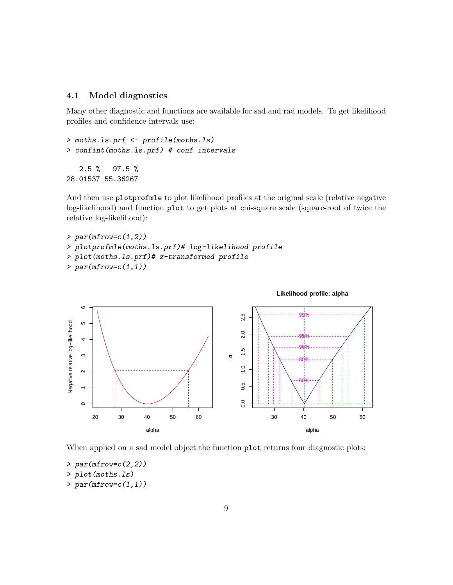#### 4.1 Model diagnostics

Many other diagnostic and functions are available for sad and rad models. To get likelihood profiles and confidence intervals use:

> moths.ls.prf <- profile(moths.ls) > confint(moths.ls.prf) # conf intervals 2.5 % 97.5 % 28.01537 55.36267

And then use plotprofmle to plot likelihood profiles at the original scale (relative negative log-likelihood) and function plot to get plots at chi-square scale (square-root of twice the relative log-likelihood):

```
> par(mfrow=c(1,2))> plotprofmle(moths.ls.prf)# log-likelihood profile
> plot(moths.ls.prf)# z-transformed profile
> par(mfrow=c(1,1))
```


When applied on a sad model object the function plot returns four diagnostic plots:

 $> par(mfrow=c(2,2))$ 

> plot(moths.ls)

 $> par(mfrow=c(1,1))$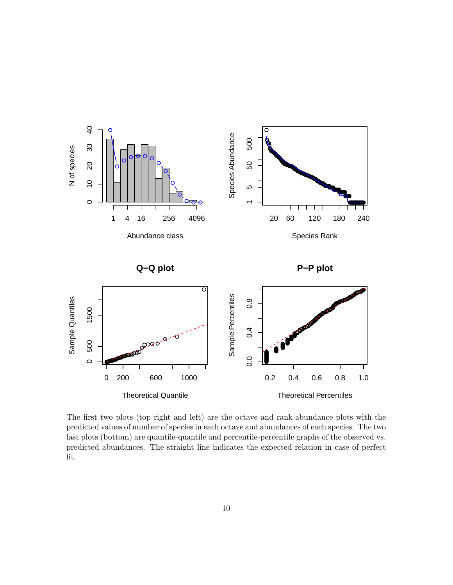

The first two plots (top right and left) are the octave and rank-abundance plots with the predicted values of number of species in each octave and abundances of each species. The two last plots (bottom) are quantile-quantile and percentile-percentile graphs of the observed vs. predicted abundances. The straight line indicates the expected relation in case of perfect fit.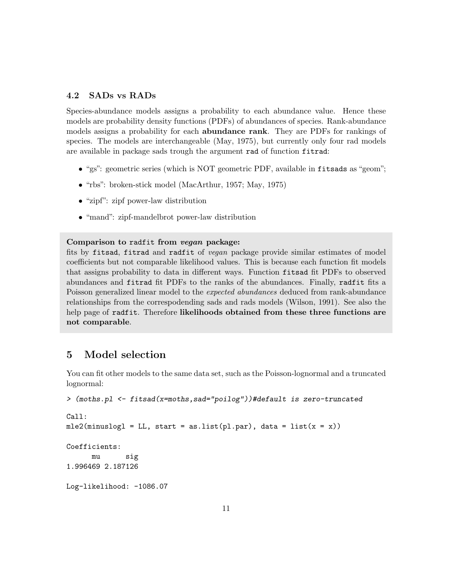#### 4.2 SADs vs RADs

Species-abundance models assigns a probability to each abundance value. Hence these models are probability density functions (PDFs) of abundances of species. Rank-abundance models assigns a probability for each **abundance rank**. They are PDFs for rankings of species. The models are interchangeable (May, 1975), but currently only four rad models are available in package sads trough the argument rad of function fitrad:

- "gs": geometric series (which is NOT geometric PDF, available in fitsads as "geom";
- "rbs": broken-stick model (MacArthur, 1957; May, 1975)
- "zipf": zipf power-law distribution
- "mand": zipf-mandelbrot power-law distribution

#### Comparison to radfit from vegan package:

fits by fitsad, fitrad and radfit of vegan package provide similar estimates of model coefficients but not comparable likelihood values. This is because each function fit models that assigns probability to data in different ways. Function fitsad fit PDFs to observed abundances and fitrad fit PDFs to the ranks of the abundances. Finally, radfit fits a Poisson generalized linear model to the *expected abundances* deduced from rank-abundance relationships from the correspodending sads and rads models (Wilson, 1991). See also the help page of radfit. Therefore likelihoods obtained from these three functions are not comparable.

### 5 Model selection

You can fit other models to the same data set, such as the Poisson-lognormal and a truncated lognormal:

```
> (moths.pl <- fitsad(x=moths,sad="poilog"))#default is zero-truncated
Call:
mle2(minuslog1 = LL, start = as.list(pl-par), data = list(x = x))Coefficients:
     mu sig
1.996469 2.187126
Log-likelihood: -1086.07
```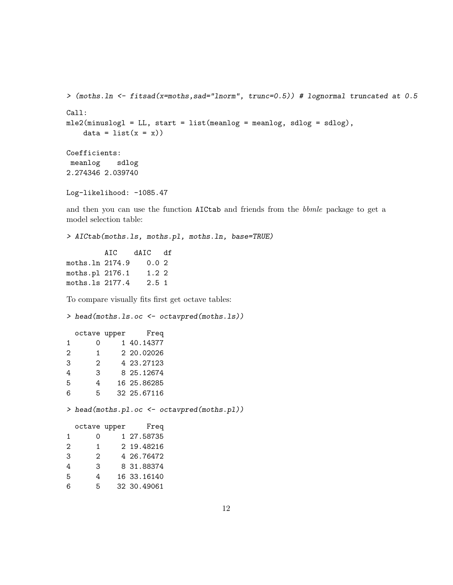```
> (moths.ln <- fitsad(x=moths,sad="lnorm", trunc=0.5)) # lognormal truncated at 0.5
Call:
mle2(minuslog1 = LL, start = list(meanlog = meanlog, sdlog = sdlog),data = list(x = x))Coefficients:
meanlog sdlog
2.274346 2.039740
```

```
Log-likelihood: -1085.47
```
and then you can use the function AICtab and friends from the bbmle package to get a model selection table:

> AICtab(moths.ls, moths.pl, moths.ln, base=TRUE) AIC dAIC df moths.ln 2174.9 0.0 2 moths.pl 2176.1 1.2 2 moths.ls 2177.4 2.5 1

To compare visually fits first get octave tables:

> head(moths.ls.oc <- octavpred(moths.ls))

|   |                | octave upper Freq |                                                      |
|---|----------------|-------------------|------------------------------------------------------|
| 1 | O              | 1 40.14377        |                                                      |
| 2 | 1              | 2 20.02026        |                                                      |
| 3 | $\overline{2}$ | 4 23.27123        |                                                      |
| 4 | 3 <sup>1</sup> | 8 25.12674        |                                                      |
| 5 | 4              | 16 25.86285       |                                                      |
| 6 | 5              | 32 25.67116       |                                                      |
|   |                |                   | > head(moths.pl.oc $\leftarrow$ octavpred(moths.pl)) |
|   |                | octave upper Freq |                                                      |
| 1 | 0              | 1 27.58735        |                                                      |
| 2 | $\mathbf{1}$   | 2 19.48216        |                                                      |
| 3 | 2              | 4 26.76472        |                                                      |
| 4 | 3              | 8 31.88374        |                                                      |
| 5 | 4              | 16 33.16140       |                                                      |
| 6 | 5              | 32 30.49061       |                                                      |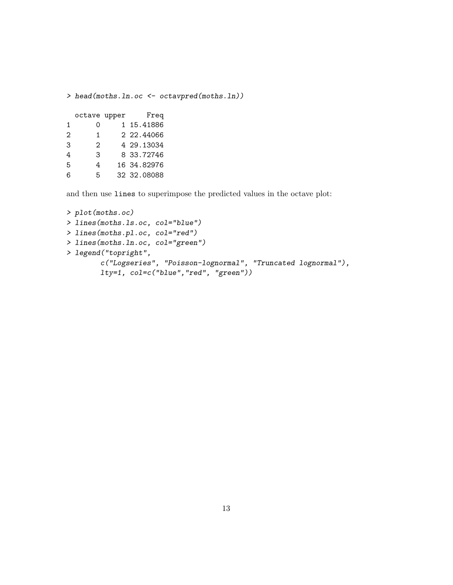> head(moths.ln.oc <- octavpred(moths.ln))

|   | octave upper | Freq        |
|---|--------------|-------------|
| 1 | Ω            | 1 15.41886  |
| 2 | 1            | 2 22.44066  |
| 3 | 2            | 4 29.13034  |
| 4 | 3            | 8 33.72746  |
| 5 | 4            | 16 34.82976 |
| 6 | 5.           | 32 32.08088 |

and then use lines to superimpose the predicted values in the octave plot:

```
> plot(moths.oc)
> lines(moths.ls.oc, col="blue")
> lines(moths.pl.oc, col="red")
> lines(moths.ln.oc, col="green")
> legend("topright",
       c("Logseries", "Poisson-lognormal", "Truncated lognormal"),
        lty=1, col=c("blue","red", "green"))
```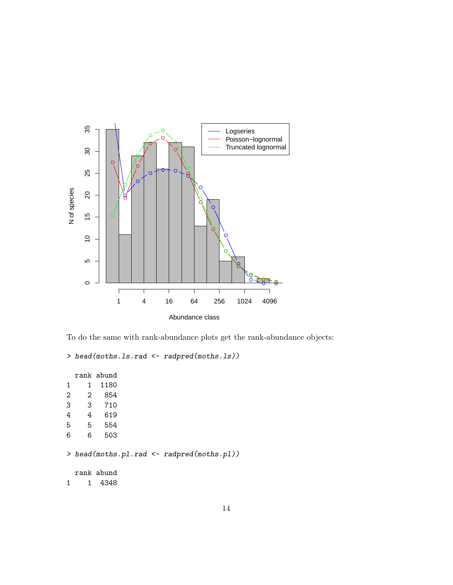



```
> head(moths.ls.rad <- radpred(moths.ls))
```
rank abund 1 1 1180 2 2 854 3 3 710 4 4 619 5 5 554 6 6 503 > head(moths.pl.rad <- radpred(moths.pl)) rank abund 1 1 4348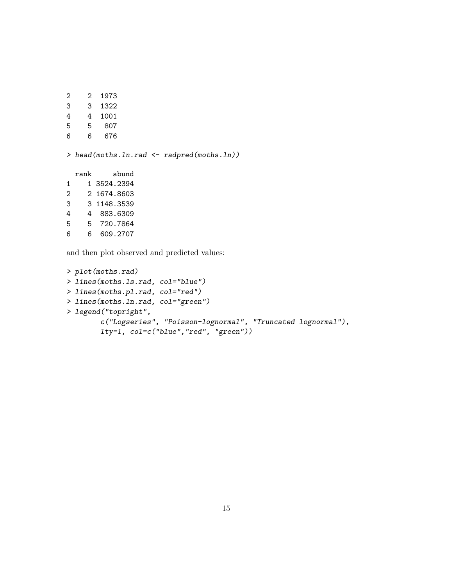2 2 1973 3 3 1322 4 4 1001 5 5 807 6 6 676 > head(moths.ln.rad <- radpred(moths.ln)) rank abund 1 1 3524.2394 2 2 1674.8603 3 3 1148.3539 4 4 883.6309 5 5 720.7864 6 6 609.2707

and then plot observed and predicted values:

```
> plot(moths.rad)
> lines(moths.ls.rad, col="blue")
> lines(moths.pl.rad, col="red")
> lines(moths.ln.rad, col="green")
> legend("topright",
        c("Logseries", "Poisson-lognormal", "Truncated lognormal"),
        lty=1, col=c("blue","red", "green"))
```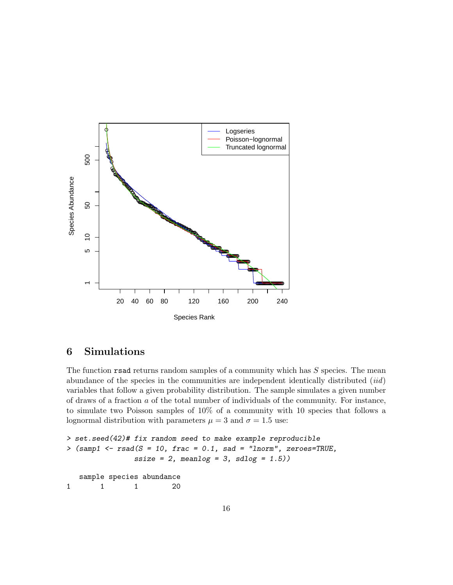

## 6 Simulations

The function  $\mathbf{r}$  read returns random samples of a community which has  $S$  species. The mean abundance of the species in the communities are independent identically distributed (iid) variables that follow a given probability distribution. The sample simulates a given number of draws of a fraction a of the total number of individuals of the community. For instance, to simulate two Poisson samples of 10% of a community with 10 species that follows a lognormal distribution with parameters  $\mu = 3$  and  $\sigma = 1.5$  use:

```
> set.seed(42)# fix random seed to make example reproducible
> (samp1 <- rsad(S = 10, frac = 0.1, sad = "lnorm", zeroes=TRUE,
              ssize = 2, meanlog = 3, sdlog = 1.5))
  sample species abundance
1 1 1 20
```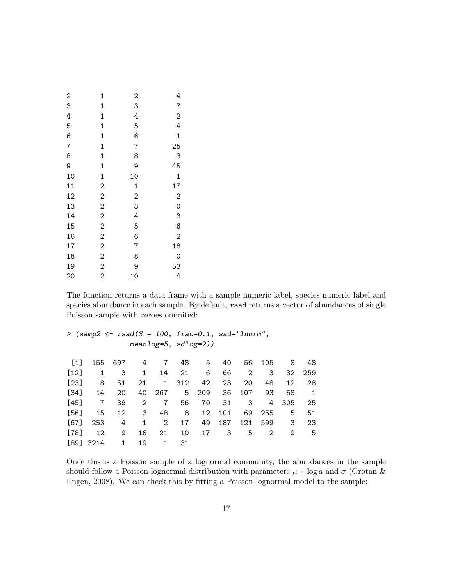| $\overline{\mathbf{c}}$ | $\mathbf{1}$   | $\overline{c}$ | 4                       |
|-------------------------|----------------|----------------|-------------------------|
| 3                       | $\mathbf{1}$   | 3              | $\overline{7}$          |
| 4                       | $\mathbf 1$    | 4              | $\overline{\mathbf{c}}$ |
| 5                       | $\mathbf{1}$   | 5              | $\overline{4}$          |
| 6                       | $\mathbf{1}$   | 6              | $\mathbf 1$             |
| $\overline{7}$          | $\mathbf 1$    | $\overline{7}$ | 25                      |
| 8                       | $\mathbf{1}$   | 8              | 3                       |
| 9                       | $\mathbf{1}$   | 9              | 45                      |
| 10                      | $\mathbf 1$    | 10             | $\mathbf{1}$            |
| 11                      | $\overline{c}$ | $\mathbf{1}$   | 17                      |
| 12                      | $\overline{c}$ | $\overline{c}$ | $\overline{\mathbf{c}}$ |
| 13                      | $\overline{c}$ | 3              | $\mathbf{O}$            |
| 14                      | $\overline{c}$ | 4              | 3                       |
| 15                      | $\overline{c}$ | 5              | 6                       |
| 16                      | $\overline{c}$ | 6              | $\overline{c}$          |
| 17                      | $\overline{c}$ | $\overline{7}$ | 18                      |
| 18                      | $\overline{c}$ | 8              | 0                       |
| 19                      | $\overline{c}$ | 9              | 53                      |
| 20                      | $\overline{2}$ | 10             | $\overline{4}$          |

The function returns a data frame with a sample numeric label, species numeric label and species abundance in each sample. By default, rsad returns a vector of abundances of single Poisson sample with zeroes ommited:

```
> (samp2 <- rsad(S = 100, frac=0.1, sad="lnorm",
               meanlog=5, sdlog=2))
```

| $\lceil 1 \rceil$ | 155 697     |              |                         |              |       | 4 7 48 5               |        |                         | 40 56 105 8 |     | 48           |
|-------------------|-------------|--------------|-------------------------|--------------|-------|------------------------|--------|-------------------------|-------------|-----|--------------|
| $[12]$            | 1           | 3            | $\mathbf{1}$            | 14           | 21    | 6                      | 66     | 2                       | 3           | 32  | 259          |
| $[23]$            | 8           | 51           | 21                      |              | 1 312 | 42                     | 23     | 20 <b>m</b>             | 48          | 12  | -28          |
| $[34]$            | 14          | -20          |                         |              |       | 40 267 5 209 36 107 93 |        |                         |             | 58  | $\mathbf{1}$ |
| $[45]$            | $7^{\circ}$ | 39           | 2                       | $7\degree$   | 56 —  | 70 —                   | 31     | $\overline{\mathbf{3}}$ | 4           | 305 | -25          |
| $[56]$            | 15          | 12           | $\overline{\mathbf{3}}$ | 48 —         | 8     | 12                     | 101    | 69                      | 255         | 5   | 51           |
| [67]              | 253         | 4            | 1                       | $2^{\circ}$  | 17    |                        | 49 187 | 121                     | 599         | - 3 | 23           |
| [78]              | 12          | 9            |                         | 16 21        | 10    | 17                     | - 3    | 5                       | 2           | 9   | - 5          |
|                   | $[89]$ 3214 | $\mathbf{1}$ | 19                      | $\mathbf{1}$ | 31    |                        |        |                         |             |     |              |

Once this is a Poisson sample of a lognormal community, the abundances in the sample should follow a Poisson-lognormal distribution with parameters  $\mu + \log a$  and  $\sigma$  (Grøtan & Engen, 2008). We can check this by fitting a Poisson-lognormal model to the sample: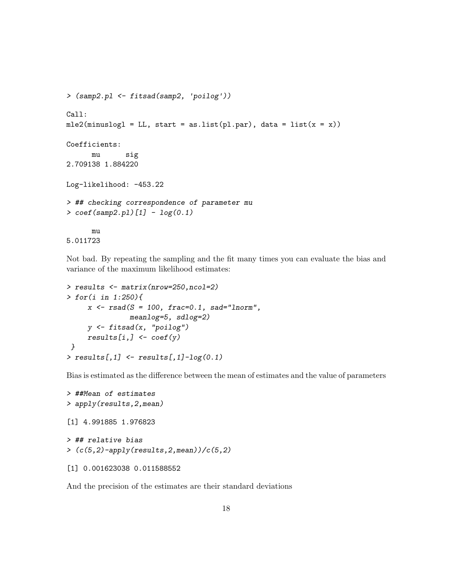```
> (samp2.pl <- fitsad(samp2, 'poilog'))
Call:
mle2(minuslog1 = LL, start = as.list(pl-par), data = list(x = x))Coefficients:
      mu sig
2.709138 1.884220
Log-likelihood: -453.22
> ## checking correspondence of parameter mu
> coef(samp2.pl)[1] - log(0.1)mu
5.011723
```
Not bad. By repeating the sampling and the fit many times you can evaluate the bias and variance of the maximum likelihood estimates:

```
> results <- matrix(nrow=250,ncol=2)
> for(i in 1:250){
      x \leftarrow \text{rsad}(S = 100, \text{ frac=0.1, sad="Inorm",}meanlog=5, sdlog=2)
      y <- fitsad(x, "poilog")
      results[i,] \leftarrow coef(y)}
> results[,1] \leftarrow results[,1]-log(0.1)
```
Bias is estimated as the difference between the mean of estimates and the value of parameters

```
> ##Mean of estimates
> apply(results,2,mean)
[1] 4.991885 1.976823
> ## relative bias
>(c(5,2)-apply(results,2,mean))/(c(5,2))[1] 0.001623038 0.011588552
```
And the precision of the estimates are their standard deviations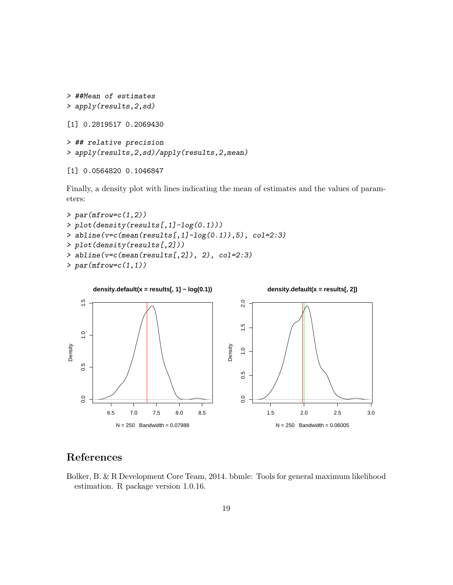```
> ##Mean of estimates
> apply(results,2,sd)
[1] 0.2819517 0.2069430
> ## relative precision
> apply(results,2,sd)/apply(results,2,mean)
```

```
[1] 0.0564820 0.1046847
```
Finally, a density plot with lines indicating the mean of estimates and the values of parameters:

```
> par(mfrow=c(1,2))> plot(density(results[,1]-log(0.1)))
> abline(v=c(mean(results[,1]-log(0.1)),5), col=2:3)
> plot(density(results[,2]))
> abline(v=c(mean(results[,2]), 2), col=2:3)
> par(mfrow=c(1,1))
```


## References

Bolker, B. & R Development Core Team, 2014. bbmle: Tools for general maximum likelihood estimation. R package version 1.0.16.